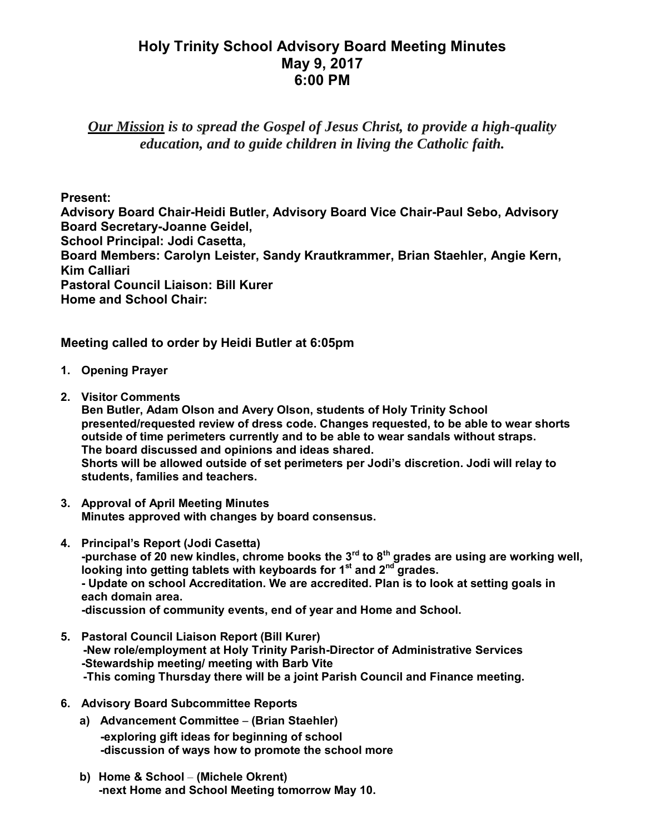## **Holy Trinity School Advisory Board Meeting Minutes May 9, 2017 6:00 PM**

*Our Mission is to spread the Gospel of Jesus Christ, to provide a high-quality education, and to guide children in living the Catholic faith.*

**Present:**

**Advisory Board Chair-Heidi Butler, Advisory Board Vice Chair-Paul Sebo, Advisory Board Secretary-Joanne Geidel, School Principal: Jodi Casetta, Board Members: Carolyn Leister, Sandy Krautkrammer, Brian Staehler, Angie Kern, Kim Calliari Pastoral Council Liaison: Bill Kurer Home and School Chair:**

**Meeting called to order by Heidi Butler at 6:05pm**

- **1. Opening Prayer**
- **2. Visitor Comments**

**Ben Butler, Adam Olson and Avery Olson, students of Holy Trinity School presented/requested review of dress code. Changes requested, to be able to wear shorts outside of time perimeters currently and to be able to wear sandals without straps. The board discussed and opinions and ideas shared. Shorts will be allowed outside of set perimeters per Jodi's discretion. Jodi will relay to students, families and teachers.**

- **3. Approval of April Meeting Minutes Minutes approved with changes by board consensus.**
- **4. Principal's Report (Jodi Casetta)** -purchase of 20 new kindles, chrome books the  $3^{rd}$  to  $8^{th}$  grades are using are working well, **looking into getting tablets with keyboards for 1 st and 2 nd grades. - Update on school Accreditation. We are accredited. Plan is to look at setting goals in each domain area. -discussion of community events, end of year and Home and School.**
- **5. Pastoral Council Liaison Report (Bill Kurer) -New role/employment at Holy Trinity Parish-Director of Administrative Services -Stewardship meeting/ meeting with Barb Vite -This coming Thursday there will be a joint Parish Council and Finance meeting.**
- **6. Advisory Board Subcommittee Reports**
	- **a) Advancement Committee (Brian Staehler) -exploring gift ideas for beginning of school -discussion of ways how to promote the school more**
	- **b) Home & School (Michele Okrent) -next Home and School Meeting tomorrow May 10.**